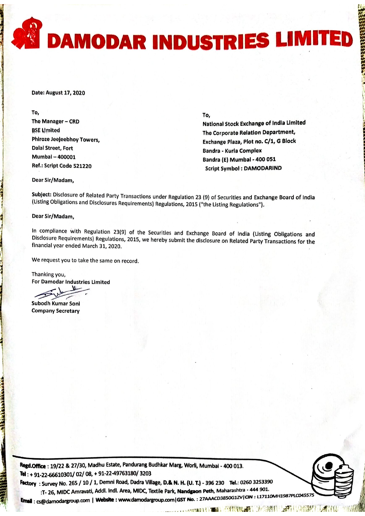**AN DAMODAR INDUSTRIES LIMITED** DAMODAR INDUSTRIES LIMITED

Date: August 17, 2020

To, The Manager - CRD **BSE Umited** Phiroze Jeejeebhoy Towers, Dalal Street, Fort Mumbai - 400001 Ref.: Script Code 521220

To,

National Stock Exchange of India Limited Tho Corporate Rolatlon Department, Exchange Plaza, Plot no. C/1, G Block Bandra - Kurla Complex Bandra (E) Mumbai - 400 051 Script Symbol : OAMODARIND

'

<u>اءِ</u> .,.  $\mathfrak{g}$ 

> ? II ? I ; ? I I 1 I

Dear Sir/Madam,

Subject: Disclosure of Related Party Transactions under Regulatlon <sup>23</sup> (9) of Securities and Exchange Board of lndla (Listing Obligations and Disclosures Requirements) Regulations, 2015 ("the Listing Regulations").

Dear Sir/Madam,

In compliance with Regulation 23(9) of the Securities and Exchange Board of India (listing Obligations and Disclosure Requirements) Regulations, 2015, we hereby submit the disclosure on Related Party Transactions for the financial year ended March 31, 2020.

We request you to take the same on record.

Thanking you, For Damodar Industries Limited

?

Subodh Kumar Soni Company Secretary

Regd.Office: 19/22 & 27/30, Madhu Estate, Pandurang Budhkar Marg, Worli, Mumbai - 400 013. Tel: + 91-22-66610301/ 02/ 08, + 91-22-49763180/ 3203

Factory: Survey No. 265 / 10 / 1, Demni Road, Dadra Village, D.& N. H. (U. T.) - 396 230 Tel.: 0260 3253390 :T- 26, MIDC Amravati, Addl. Indl. Area, MIDC, Textile Park, Nandgaon Peth, Maharashtra - 444 901.

1988. The 26, WIDC ATTRIVIOL, ALGO MILITACS, WIDE, TEAMETRIN, WARRELL COM, MERETRIN, 1998.<br>Email : cs@damodargroup.com | Website : www.damodargroup.com | GSTNo. : 27AAACD3850G1ZV | CIN : L17110MH1987PLC045575

 $, 1, 1, 1, 1, \ldots$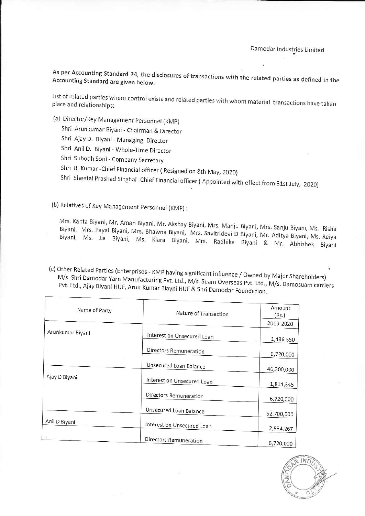As per Accounting Standard 24, the disclosures o As per Accounting Standard 24, the disclosures of transactions with the related parties as defined in th<br>Accounting Standard are given below. Accounting Standard are given below.

List of related parties where control exists and related parties with whom material transactions have taken<br>place and relationships:

- (a) Director/KeyManagement Personnel (KMP} (a) Director/Key Management personnel (KMp)
	- Shri Arunkumar Biyani Chairman & Director Shri Arunkumar Biyani- Chairman & Director
	- Shri Ajay D. Biyani Managing Director Shri Ajay D. Biyani, Managing Director
	- Shri Anil D. Biyani Whole-Time Director Shri Anil D. Biyani- Whote\_Time Director
	- Shri Subodh Soni Company Secretary Shri Subodh Soni- Company Secretary

Shri R. Kumar - Chief Financial officer (Resigned on 8th May, 2020)

Shri R. Kumar -Chief Financial officer ( Resigned on 8th May, 2020)<br>Shri Sheetal Prashad Singhal -Chief Financial officer ( Appointed with effect from 31st July, 2020)

(b) Relatives of Key Management Personnel {KMP): (b) Relatives of Key Management personnel (KMp) :

Mrs. Biyani, Kant <sup>ıta</sup> Biyani, Mr. Aman Biyani, Mr. Akshay Biyani, Mrs. Manju Biyani, Mrs. Sanju Biyani, Ms. Rish<br>Mrs. Payal Biyani, Mrs. Bhawna Biyani, Mrs. Sovittida i B.Bi Biyani, Ms. Jia Biyani, Mrs. Mrs. Biyani, Mrs. Biyani, Ms Bhawna Biyani, Mrs. Savitridevi <sup>D</sup> Biyani, Mr. Aditya Biyani, Ms. Reiya Kiara Biyani, Mrs. Radhika Biyani & Mr. Abhishek Biyani Mrs. Biyani, Kanta Biyani, Paval Mr. Aman Biyas. Kanta Biyani, Mr. Aman Biyani, Mr. Akshay Biyani, Mrs. Manju Biyani, Mrs. Sanju Biyani, Ms. Risha<br>Biyani, Mrs. Payal Biyani, Mrs. Bhawna Biyani, Mrs. Savitridevi D Biyani, Mr. Aditya Biyani, Ms. Reiya<br>Biyani,

(c) Other Related Parties (Enterprises - KMP having significant influence / Owned by Major Shareholders)<br>M/s. Shri Damodar Yarn Manufacturing Pyt. Ltd., M/s. Suam Overseas Pyt. Ltd., M/s. D ¢<br>M/s. Shri Damodar Yarn Manufacturing Pvt. Ltd., M/s. Suam Overseas Pvt. Ltd., M/s. Shri Damodar Yarn Manufacturing Pvt. Ltd., M/s. Suam Overseas Pvt. Ltd., M/s. Damosuam carriers<br>Pvt. Ltd., Ajay Biyani HUF, Arun Kumar Bi

| Name of Party    | Nature of Transaction      | Amount<br>(Rs.) |
|------------------|----------------------------|-----------------|
|                  |                            | 2019-2020       |
| Arunkumar Biyani | Interest on Unsecured Loan | 1,436,550       |
|                  | Directors Remuneration     | 6,720,000       |
| Ajay D Biyani    | Unsecured Loan Balance     | 46,300,000      |
|                  | Interest on Unsecured Loan | 1,814,345       |
|                  | Directors Remuneration     | 6,720,000       |
| Anil D Biyani    | Unsecured Loan Balance     | 52,700,000      |
|                  | Interest on Unsecured Loan | 2,934,267       |
|                  | Directors Remuneration     | 6,720,000       |

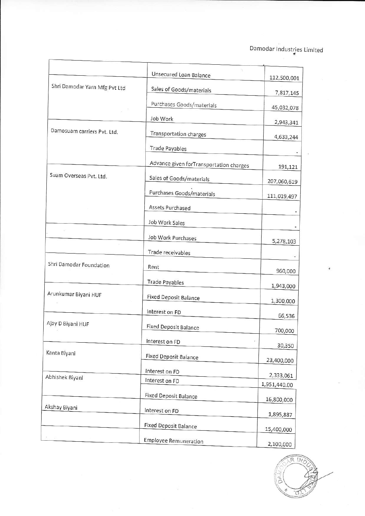## Damodar Industries Limited

|                               | Unsecured Loan Balance                  | 112,500,001                |
|-------------------------------|-----------------------------------------|----------------------------|
| Shri Damodar Yarn Mfg Pvt Ltd | Sales of Goods/materials                | 7,817,145                  |
|                               | Purchases Goods/materials               | 45,032,078                 |
|                               | Job Work                                | 2,943,341                  |
| Damosuam carriers Pvt. Ltd.   | Transportation charges                  | 4,633,244                  |
|                               | <b>Trade Payables</b>                   |                            |
|                               | Advance given forTransportation charges |                            |
| Suam Overseas Pvt. Ltd.       | Sales of Goods/materials                | 191,121                    |
|                               | Purchases Goods/materials               | 207,060,619                |
|                               | Assets Purchased                        | 111,019,497                |
|                               |                                         |                            |
|                               | Job Work Sales                          |                            |
|                               | Job Work Purchases                      | 5,278,103                  |
|                               | Trade receivables                       |                            |
| Shri Damodar Foundation       | Rent                                    | 960,000                    |
|                               | <b>Trade Payables</b>                   | 1,943,000                  |
| Arunkumar Biyani HUF          | <b>Fixed Deposit Balance</b>            | 1,300,000                  |
|                               | Interest on FD                          | 66,536                     |
| Ajay D Biyani HUF             | <b>Fixed Deposit Balance</b>            | 700,000                    |
|                               | Interest on FD                          | $\omega_{\rm c}$<br>30,350 |
| Kanta Biyani                  | Fixed Deposit Balance                   | 23,400,000                 |
|                               | Interest on FD                          |                            |
| Abhishek Biyani               | Interest on FD                          | 2,333,061<br>1,951,440.00  |
|                               | <b>Fixed Deposit Balance</b>            | 16,800,000                 |
| Akshay Biyani                 | Interest on FD                          | 1,895,887                  |
|                               | <b>Fixed Deposit Balance</b>            |                            |
|                               | <b>Employee Remuneration</b>            | 15,400,000                 |
|                               |                                         | 2,100,000                  |

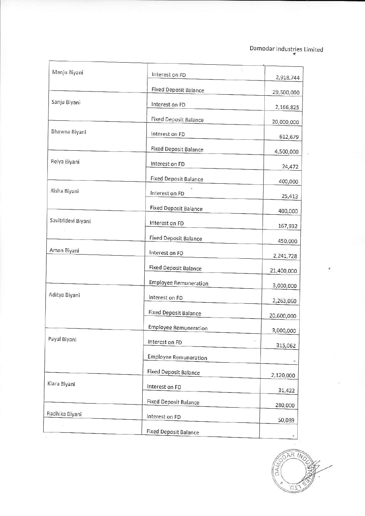## Damodar Industries Limited

| Manju Biyani       | Interest on FD               | 2,918,744  |
|--------------------|------------------------------|------------|
|                    | <b>Fixed Deposit Balance</b> | 29,500,000 |
| Sanju Biyani       | Interest on FD               | 2,166,825  |
|                    | <b>Fixed Deposit Balance</b> | 20,000,000 |
| Bhawna Biyani      | Interest on FD               | 612,679    |
|                    | <b>Fixed Deposit Balance</b> | 4,500,000  |
| Reiya Biyani       | Interest on FD               | 24,472     |
|                    | Fixed Deposit Balance        | 400,000    |
| Risha Biyani       | Interest on FD               | 25,413     |
|                    | <b>Fixed Deposit Balance</b> | 400,000    |
| Savitridevi Biyani | Interest on FD               | 167,932    |
|                    | <b>Fixed Deposit Balance</b> | 450,000    |
| Aman Biyani        | Interest on FD               | 2,241,728  |
|                    | <b>Fixed Deposit Balance</b> | 21,400,000 |
|                    | <b>Employee Remuneration</b> | 3,000,000  |
| Aditya Biyani      | Interest on FD               | 2,263,060  |
|                    | <b>Fixed Deposit Balance</b> | 20,600,000 |
|                    | <b>Employee Remuneration</b> | 3,000,000  |
| Payal Biyani       | Interest on FD               | 315,062    |
|                    | <b>Employee Remuneration</b> |            |
| Kiara Biyani       | <b>Fixed Deposit Balance</b> | 2,120,000  |
|                    | Interest on FD               | 31,422     |
|                    | Fixed Deposit Balance        | 280,000    |
| Radhika Biyani     | Interest on FD               | 50,089     |
|                    | <b>Fixed Deposit Balance</b> |            |